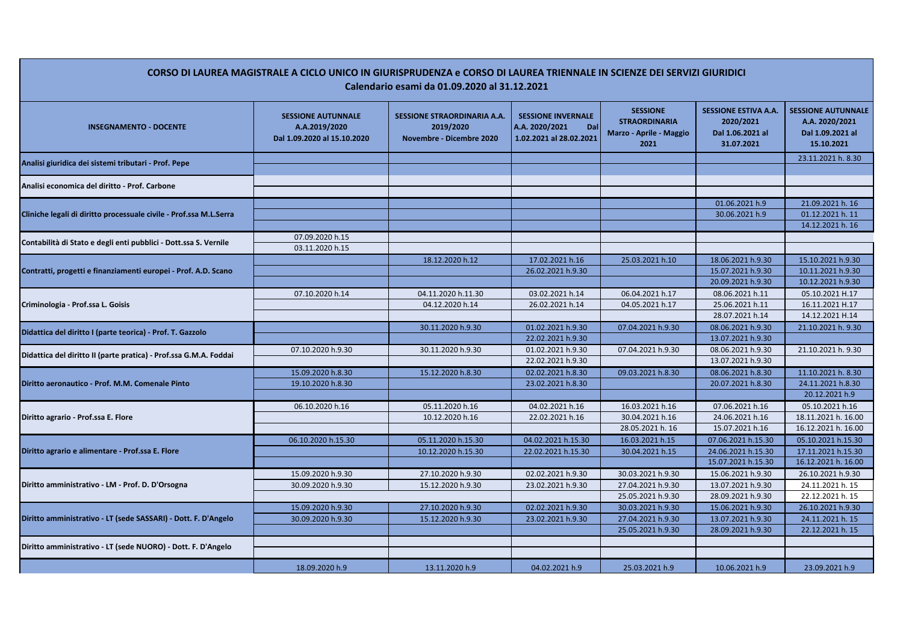| CORSO DI LAUREA MAGISTRALE A CICLO UNICO IN GIURISPRUDENZA e CORSO DI LAUREA TRIENNALE IN SCIENZE DEI SERVIZI GIURIDICI<br>Calendario esami da 01.09.2020 al 31.12.2021 |                                                                           |                                                                             |                                                                               |                                                                            |                                                                            |                                                                               |  |  |
|-------------------------------------------------------------------------------------------------------------------------------------------------------------------------|---------------------------------------------------------------------------|-----------------------------------------------------------------------------|-------------------------------------------------------------------------------|----------------------------------------------------------------------------|----------------------------------------------------------------------------|-------------------------------------------------------------------------------|--|--|
| <b>INSEGNAMENTO - DOCENTE</b>                                                                                                                                           | <b>SESSIONE AUTUNNALE</b><br>A.A.2019/2020<br>Dal 1.09.2020 al 15.10.2020 | <b>SESSIONE STRAORDINARIA A.A.</b><br>2019/2020<br>Novembre - Dicembre 2020 | <b>SESSIONE INVERNALE</b><br>A.A. 2020/2021<br>Dal<br>1.02.2021 al 28.02.2021 | <b>SESSIONE</b><br><b>STRAORDINARIA</b><br>Marzo - Aprile - Maggio<br>2021 | <b>SESSIONE ESTIVA A.A.</b><br>2020/2021<br>Dal 1.06.2021 al<br>31.07.2021 | <b>SESSIONE AUTUNNALE</b><br>A.A. 2020/2021<br>Dal 1.09.2021 al<br>15.10.2021 |  |  |
| Analisi giuridica dei sistemi tributari - Prof. Pepe                                                                                                                    |                                                                           |                                                                             |                                                                               |                                                                            |                                                                            | 23.11.2021 h. 8.30                                                            |  |  |
| Analisi economica del diritto - Prof. Carbone                                                                                                                           |                                                                           |                                                                             |                                                                               |                                                                            |                                                                            |                                                                               |  |  |
|                                                                                                                                                                         |                                                                           |                                                                             |                                                                               |                                                                            |                                                                            |                                                                               |  |  |
| Cliniche legali di diritto processuale civile - Prof.ssa M.L.Serra                                                                                                      |                                                                           |                                                                             |                                                                               |                                                                            | 01.06.2021 h.9                                                             | 21.09.2021 h. 16                                                              |  |  |
|                                                                                                                                                                         |                                                                           |                                                                             |                                                                               |                                                                            | 30.06.2021 h.9                                                             | 01.12.2021 h. 11                                                              |  |  |
|                                                                                                                                                                         |                                                                           |                                                                             |                                                                               |                                                                            |                                                                            | 14.12.2021 h. 16                                                              |  |  |
| Contabilità di Stato e degli enti pubblici - Dott.ssa S. Vernile                                                                                                        | 07.09.2020 h.15                                                           |                                                                             |                                                                               |                                                                            |                                                                            |                                                                               |  |  |
|                                                                                                                                                                         | 03.11.2020 h.15                                                           |                                                                             |                                                                               |                                                                            |                                                                            |                                                                               |  |  |
| Contratti, progetti e finanziamenti europei - Prof. A.D. Scano<br>Criminologia - Prof.ssa L. Goisis                                                                     |                                                                           | 18.12.2020 h.12                                                             | 17.02.2021 h.16                                                               | 25.03.2021 h.10                                                            | 18.06.2021 h.9.30                                                          | 15.10.2021 h.9.30<br>10.11.2021 h.9.30                                        |  |  |
|                                                                                                                                                                         |                                                                           |                                                                             | 26.02.2021 h.9.30                                                             |                                                                            | 15.07.2021 h.9.30<br>20.09.2021 h.9.30                                     | 10.12.2021 h.9.30                                                             |  |  |
|                                                                                                                                                                         |                                                                           |                                                                             |                                                                               |                                                                            |                                                                            |                                                                               |  |  |
|                                                                                                                                                                         | 07.10.2020 h.14                                                           | 04.11.2020 h.11.30<br>04.12.2020 h.14                                       | 03.02.2021 h.14<br>26.02.2021 h.14                                            | 06.04.2021 h.17<br>04.05.2021 h.17                                         | 08.06.2021 h.11<br>25.06.2021 h.11                                         | 05.10.2021 H.17<br>16.11.2021 H.17                                            |  |  |
|                                                                                                                                                                         |                                                                           |                                                                             |                                                                               |                                                                            | 28.07.2021 h.14                                                            | 14.12.2021 H.14                                                               |  |  |
|                                                                                                                                                                         |                                                                           | 30.11.2020 h.9.30                                                           | 01.02.2021 h.9.30                                                             | 07.04.2021 h.9.30                                                          | 08.06.2021 h.9.30                                                          | 21.10.2021 h. 9.30                                                            |  |  |
| Didattica del diritto I (parte teorica) - Prof. T. Gazzolo                                                                                                              |                                                                           |                                                                             | 22.02.2021 h.9.30                                                             |                                                                            | 13.07.2021 h.9.30                                                          |                                                                               |  |  |
|                                                                                                                                                                         | 07.10.2020 h.9.30                                                         | 30.11.2020 h.9.30                                                           | 01.02.2021 h.9.30                                                             | 07.04.2021 h.9.30                                                          | 08.06.2021 h.9.30                                                          | 21.10.2021 h. 9.30                                                            |  |  |
| Didattica del diritto II (parte pratica) - Prof.ssa G.M.A. Foddai                                                                                                       |                                                                           |                                                                             | 22.02.2021 h.9.30                                                             |                                                                            | 13.07.2021 h.9.30                                                          |                                                                               |  |  |
|                                                                                                                                                                         | 15.09.2020 h.8.30                                                         | 15.12.2020 h.8.30                                                           | 02.02.2021 h.8.30                                                             | 09.03.2021 h.8.30                                                          | 08.06.2021 h.8.30                                                          | 11.10.2021 h. 8.30                                                            |  |  |
| Diritto aeronautico - Prof. M.M. Comenale Pinto                                                                                                                         | 19.10.2020 h.8.30                                                         |                                                                             | 23.02.2021 h.8.30                                                             |                                                                            | 20.07.2021 h.8.30                                                          | 24.11.2021 h.8.30                                                             |  |  |
|                                                                                                                                                                         |                                                                           |                                                                             |                                                                               |                                                                            |                                                                            | 20.12.2021 h.9                                                                |  |  |
|                                                                                                                                                                         | 06.10.2020 h.16                                                           | 05.11.2020 h.16                                                             | 04.02.2021 h.16                                                               | 16.03.2021 h.16                                                            | 07.06.2021 h.16                                                            | 05.10.2021 h.16                                                               |  |  |
| Diritto agrario - Prof.ssa E. Flore                                                                                                                                     |                                                                           | 10.12.2020 h.16                                                             | 22.02.2021 h.16                                                               | 30.04.2021 h.16                                                            | 24.06.2021 h.16                                                            | 18.11.2021 h. 16.00                                                           |  |  |
|                                                                                                                                                                         |                                                                           |                                                                             |                                                                               | 28.05.2021 h. 16                                                           | 15.07.2021 h.16                                                            | 16.12.2021 h. 16.00                                                           |  |  |
|                                                                                                                                                                         | 06.10.2020 h.15.30                                                        | 05.11.2020 h.15.30                                                          | 04.02.2021 h.15.30                                                            | 16.03.2021 h.15                                                            | 07.06.2021 h.15.30                                                         | 05.10.2021 h.15.30                                                            |  |  |
| Diritto agrario e alimentare - Prof.ssa E. Flore                                                                                                                        |                                                                           | 10.12.2020 h.15.30                                                          | 22.02.2021 h.15.30                                                            | 30.04.2021 h.15                                                            | 24.06.2021 h.15.30                                                         | 17.11.2021 h.15.30                                                            |  |  |
|                                                                                                                                                                         |                                                                           |                                                                             |                                                                               |                                                                            | 15.07.2021 h.15.30                                                         | 16.12.2021 h. 16.00                                                           |  |  |
|                                                                                                                                                                         | 15.09.2020 h.9.30                                                         | 27.10.2020 h.9.30                                                           | 02.02.2021 h.9.30                                                             | 30.03.2021 h.9.30                                                          | 15.06.2021 h.9.30                                                          | 26.10.2021 h.9.30                                                             |  |  |
| Diritto amministrativo - LM - Prof. D. D'Orsogna                                                                                                                        | 30.09.2020 h.9.30                                                         | 15.12.2020 h.9.30                                                           | 23.02.2021 h.9.30                                                             | 27.04.2021 h.9.30                                                          | 13.07.2021 h.9.30                                                          | 24.11.2021 h. 15                                                              |  |  |
|                                                                                                                                                                         |                                                                           |                                                                             |                                                                               | 25.05.2021 h.9.30                                                          | 28.09.2021 h.9.30                                                          | 22.12.2021 h. 15                                                              |  |  |
|                                                                                                                                                                         | 15.09.2020 h.9.30                                                         | 27.10.2020 h.9.30                                                           | 02.02.2021 h.9.30                                                             | 30.03.2021 h.9.30                                                          | 15.06.2021 h.9.30                                                          | 26.10.2021 h.9.30                                                             |  |  |
| Diritto amministrativo - LT (sede SASSARI) - Dott. F. D'Angelo                                                                                                          | 30.09.2020 h.9.30                                                         | 15.12.2020 h.9.30                                                           | 23.02.2021 h.9.30                                                             | 27.04.2021 h.9.30                                                          | 13.07.2021 h.9.30                                                          | 24.11.2021 h. 15                                                              |  |  |
|                                                                                                                                                                         |                                                                           |                                                                             |                                                                               | 25.05.2021 h.9.30                                                          | 28.09.2021 h.9.30                                                          | 22.12.2021 h. 15                                                              |  |  |
| Diritto amministrativo - LT (sede NUORO) - Dott. F. D'Angelo                                                                                                            |                                                                           |                                                                             |                                                                               |                                                                            |                                                                            |                                                                               |  |  |
|                                                                                                                                                                         |                                                                           |                                                                             |                                                                               |                                                                            |                                                                            |                                                                               |  |  |
|                                                                                                                                                                         | 18.09.2020 h.9                                                            | 13.11.2020 h.9                                                              | 04.02.2021 h.9                                                                | 25.03.2021 h.9                                                             | 10.06.2021 h.9                                                             | 23.09.2021 h.9                                                                |  |  |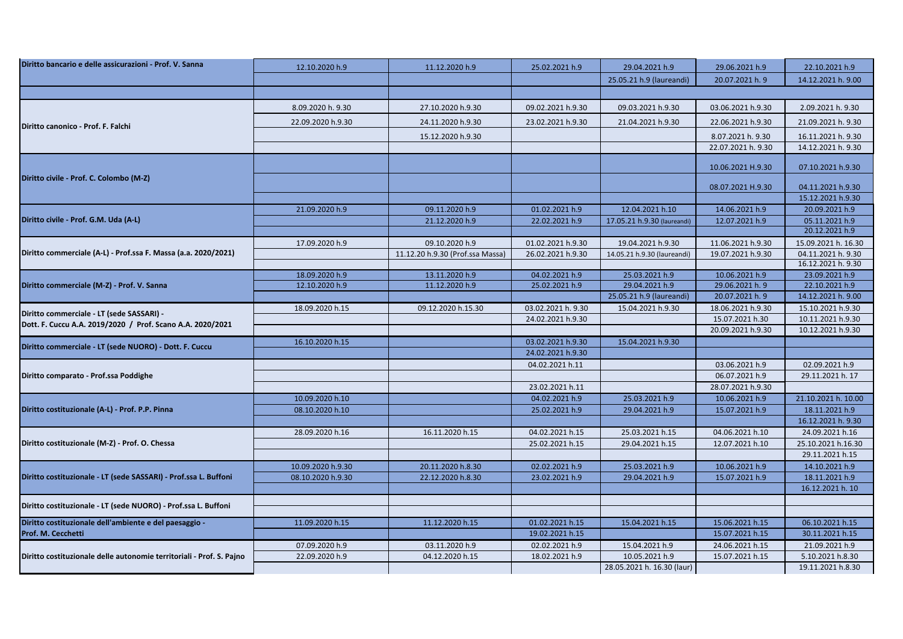| Diritto bancario e delle assicurazioni - Prof. V. Sanna              | 12.10.2020 h.9    | 11.12.2020 h.9                   | 25.02.2021 h.9                    | 29.04.2021 h.9              | 29.06.2021 h.9                   | 22.10.2021 h.9                         |
|----------------------------------------------------------------------|-------------------|----------------------------------|-----------------------------------|-----------------------------|----------------------------------|----------------------------------------|
|                                                                      |                   |                                  |                                   | 25.05.21 h.9 (laureandi)    | 20.07.2021 h. 9                  | 14.12.2021 h. 9.00                     |
|                                                                      |                   |                                  |                                   |                             |                                  |                                        |
|                                                                      | 8.09.2020 h. 9.30 | 27.10.2020 h.9.30                | 09.02.2021 h.9.30                 | 09.03.2021 h.9.30           | 03.06.2021 h.9.30                | 2.09.2021 h. 9.30                      |
|                                                                      | 22.09.2020 h.9.30 | 24.11.2020 h.9.30                | 23.02.2021 h.9.30                 | 21.04.2021 h.9.30           | 22.06.2021 h.9.30                | 21.09.2021 h. 9.30                     |
| Diritto canonico - Prof. F. Falchi                                   |                   | 15.12.2020 h.9.30                |                                   |                             | 8.07.2021 h. 9.30                | 16.11.2021 h. 9.30                     |
|                                                                      |                   |                                  |                                   |                             | 22.07.2021 h. 9.30               | 14.12.2021 h. 9.30                     |
|                                                                      |                   |                                  |                                   |                             |                                  |                                        |
|                                                                      |                   |                                  |                                   |                             | 10.06.2021 H.9.30                | 07.10.2021 h.9.30                      |
| Diritto civile - Prof. C. Colombo (M-Z)                              |                   |                                  |                                   |                             |                                  |                                        |
|                                                                      |                   |                                  |                                   |                             | 08.07.2021 H.9.30                | 04.11.2021 h.9.30<br>15.12.2021 h.9.30 |
|                                                                      | 21.09.2020 h.9    | 09.11.2020 h.9                   | 01.02.2021 h.9                    | 12.04.2021 h.10             | 14.06.2021 h.9                   | 20.09.2021 h.9                         |
| Diritto civile - Prof. G.M. Uda (A-L)                                |                   | 21.12.2020 h.9                   | 22.02.2021 h.9                    | 17.05.21 h.9.30 (laureandi) | 12.07.2021 h.9                   | 05.11.2021 h.9                         |
|                                                                      |                   |                                  |                                   |                             |                                  | 20.12.2021 h.9                         |
|                                                                      | 17.09.2020 h.9    | 09.10.2020 h.9                   | 01.02.2021 h.9.30                 | 19.04.2021 h.9.30           | 11.06.2021 h.9.30                | 15.09.2021 h. 16.30                    |
| Diritto commerciale (A-L) - Prof.ssa F. Massa (a.a. 2020/2021)       |                   | 11.12.20 h.9.30 (Prof.ssa Massa) | 26.02.2021 h.9.30                 | 14.05.21 h.9.30 (laureandi) | 19.07.2021 h.9.30                | 04.11.2021 h. 9.30                     |
|                                                                      |                   |                                  |                                   |                             |                                  | 16.12.2021 h. 9.30                     |
| Diritto commerciale (M-Z) - Prof. V. Sanna                           | 18.09.2020 h.9    | 13.11.2020 h.9                   | 04.02.2021 h.9                    | 25.03.2021 h.9              | 10.06.2021 h.9                   | 23.09.2021 h.9                         |
|                                                                      | 12.10.2020 h.9    | 11.12.2020 h.9                   | 25.02.2021 h.9                    | 29.04.2021 h.9              | 29.06.2021 h. 9                  | 22.10.2021 h.9                         |
|                                                                      |                   |                                  |                                   | 25.05.21 h.9 (laureandi)    | 20.07.2021 h. 9                  | 14.12.2021 h. 9.00                     |
| Diritto commerciale - LT (sede SASSARI) -                            | 18.09.2020 h.15   | 09.12.2020 h.15.30               | 03.02.2021 h. 9.30                | 15.04.2021 h.9.30           | 18.06.2021 h.9.30                | 15.10.2021 h.9.30                      |
| Dott. F. Cuccu A.A. 2019/2020 / Prof. Scano A.A. 2020/2021           |                   |                                  | 24.02.2021 h.9.30                 |                             | 15.07.2021 h.30                  | 10.11.2021 h.9.30                      |
|                                                                      |                   |                                  |                                   |                             | 20.09.2021 h.9.30                | 10.12.2021 h.9.30                      |
| Diritto commerciale - LT (sede NUORO) - Dott. F. Cuccu               | 16.10.2020 h.15   |                                  | 03.02.2021 h.9.30                 | 15.04.2021 h.9.30           |                                  |                                        |
|                                                                      |                   |                                  | 24.02.2021 h.9.30                 |                             |                                  |                                        |
|                                                                      |                   |                                  | 04.02.2021 h.11                   |                             | 03.06.2021 h.9                   | 02.09.2021 h.9                         |
| Diritto comparato - Prof.ssa Poddighe                                |                   |                                  |                                   |                             | 06.07.2021 h.9                   | 29.11.2021 h. 17                       |
|                                                                      | 10.09.2020 h.10   |                                  | 23.02.2021 h.11<br>04.02.2021 h.9 | 25.03.2021 h.9              | 28.07.2021 h.9.30                | 21.10.2021 h. 10.00                    |
| Diritto costituzionale (A-L) - Prof. P.P. Pinna                      | 08.10.2020 h.10   |                                  | 25.02.2021 h.9                    | 29.04.2021 h.9              | 10.06.2021 h.9<br>15.07.2021 h.9 | 18.11.2021 h.9                         |
|                                                                      |                   |                                  |                                   |                             |                                  | 16.12.2021 h. 9.30                     |
|                                                                      | 28.09.2020 h.16   | 16.11.2020 h.15                  | 04.02.2021 h.15                   | 25.03.2021 h.15             | 04.06.2021 h.10                  | 24.09.2021 h.16                        |
| Diritto costituzionale (M-Z) - Prof. O. Chessa                       |                   |                                  | 25.02.2021 h.15                   | 29.04.2021 h.15             | 12.07.2021 h.10                  | 25.10.2021 h.16.30                     |
|                                                                      |                   |                                  |                                   |                             |                                  | 29.11.2021 h.15                        |
|                                                                      | 10.09.2020 h.9.30 | 20.11.2020 h.8.30                | 02.02.2021 h.9                    | 25.03.2021 h.9              | 10.06.2021 h.9                   | 14.10.2021 h.9                         |
| Diritto costituzionale - LT (sede SASSARI) - Prof.ssa L. Buffoni     | 08.10.2020 h.9.30 | 22.12.2020 h.8.30                | 23.02.2021 h.9                    | 29.04.2021 h.9              | 15.07.2021 h.9                   | 18.11.2021 h.9                         |
|                                                                      |                   |                                  |                                   |                             |                                  | 16.12.2021 h. 10                       |
|                                                                      |                   |                                  |                                   |                             |                                  |                                        |
| Diritto costituzionale - LT (sede NUORO) - Prof.ssa L. Buffoni       |                   |                                  |                                   |                             |                                  |                                        |
| Diritto costituzionale dell'ambiente e del paesaggio -               | 11.09.2020 h.15   | 11.12.2020 h.15                  | 01.02.2021 h.15                   | 15.04.2021 h.15             | 15.06.2021 h.15                  | 06.10.2021 h.15                        |
| Prof. M. Cecchetti                                                   |                   |                                  | 19.02.2021 h.15                   |                             | 15.07.2021 h.15                  | 30.11.2021 h.15                        |
|                                                                      | 07.09.2020 h.9    | 03.11.2020 h.9                   | 02.02.2021 h.9                    | 15.04.2021 h.9              | 24.06.2021 h.15                  | 21.09.2021 h.9                         |
| Diritto costituzionale delle autonomie territoriali - Prof. S. Pajno | 22.09.2020 h.9    | 04.12.2020 h.15                  | 18.02.2021 h.9                    | 10.05.2021 h.9              | 15.07.2021 h.15                  | 5.10.2021 h.8.30                       |
|                                                                      |                   |                                  |                                   | 28.05.2021 h. 16.30 (laur)  |                                  | 19.11.2021 h.8.30                      |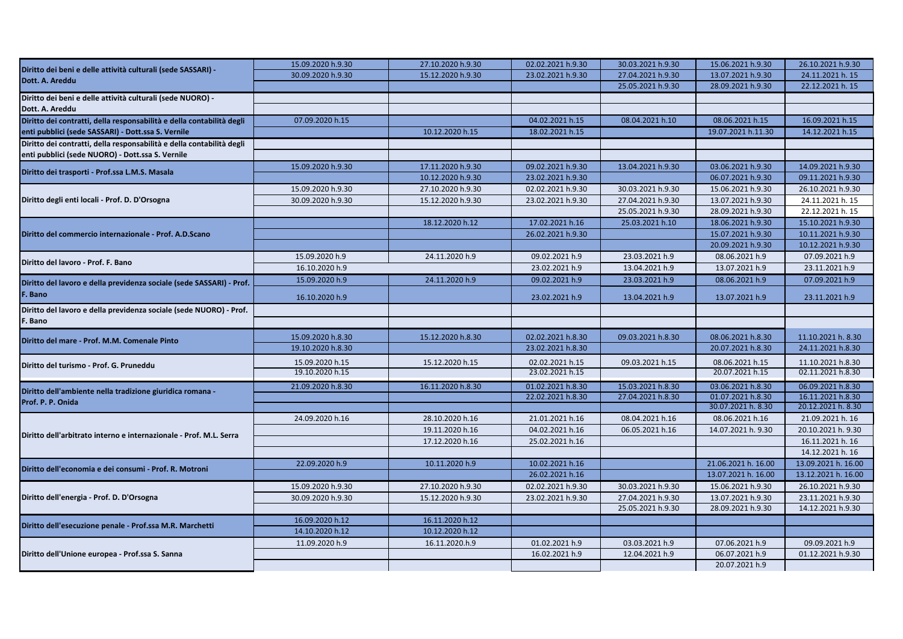| Diritto dei beni e delle attività culturali (sede SASSARI) -<br>30.09.2020 h.9.30<br>15.12.2020 h.9.30<br>23.02.2021 h.9.30<br>27.04.2021 h.9.30<br>13.07.2021 h.9.30<br>24.11.2021 h. 15<br>Dott. A. Areddu<br>25.05.2021 h.9.30<br>28.09.2021 h.9.30<br>22.12.2021 h. 15<br>Diritto dei beni e delle attività culturali (sede NUORO) -<br>Dott. A. Areddu<br>Diritto dei contratti, della responsabilità e della contabilità degli<br>04.02.2021 h.15<br>08.06.2021 h.15<br>16.09.2021 h.15<br>07.09.2020 h.15<br>08.04.2021 h.10<br>enti pubblici (sede SASSARI) - Dott.ssa S. Vernile<br>10.12.2020 h.15<br>18.02.2021 h.15<br>19.07.2021 h.11.30<br>14.12.2021 h.15<br>Diritto dei contratti, della responsabilità e della contabilità degli<br>enti pubblici (sede NUORO) - Dott.ssa S. Vernile<br>09.02.2021 h.9.30<br>03.06.2021 h.9.30<br>14.09.2021 h.9.30<br>15.09.2020 h.9.30<br>17.11.2020 h.9.30<br>13.04.2021 h.9.30<br>Diritto dei trasporti - Prof.ssa L.M.S. Masala<br>10.12.2020 h.9.30<br>23.02.2021 h.9.30<br>06.07.2021 h.9.30<br>09.11.2021 h.9.30<br>15.09.2020 h.9.30<br>27.10.2020 h.9.30<br>02.02.2021 h.9.30<br>30.03.2021 h.9.30<br>15.06.2021 h.9.30<br>26.10.2021 h.9.30<br>Diritto degli enti locali - Prof. D. D'Orsogna<br>27.04.2021 h.9.30<br>13.07.2021 h.9.30<br>30.09.2020 h.9.30<br>15.12.2020 h.9.30<br>23.02.2021 h.9.30<br>24.11.2021 h. 15<br>25.05.2021 h.9.30<br>28.09.2021 h.9.30<br>22.12.2021 h. 15<br>18.12.2020 h.12<br>17.02.2021 h.16<br>25.03.2021 h.10<br>18.06.2021 h.9.30<br>15.10.2021 h.9.30<br>Diritto del commercio internazionale - Prof. A.D.Scano<br>26.02.2021 h.9.30<br>15.07.2021 h.9.30<br>10.11.2021 h.9.30<br>20.09.2021 h.9.30<br>10.12.2021 h.9.30<br>15.09.2020 h.9<br>23.03.2021 h.9<br>24.11.2020 h.9<br>09.02.2021 h.9<br>08.06.2021 h.9<br>07.09.2021 h.9<br>16.10.2020 h.9<br>23.02.2021 h.9<br>13.04.2021 h.9<br>13.07.2021 h.9<br>23.11.2021 h.9<br>15.09.2020 h.9<br>24.11.2020 h.9<br>09.02.2021 h.9<br>23.03.2021 h.9<br>08.06.2021 h.9<br>07.09.2021 h.9<br>F. Bano<br>16.10.2020 h.9<br>23.02.2021 h.9<br>13.04.2021 h.9<br>13.07.2021 h.9<br>23.11.2021 h.9<br>F. Bano<br>15.09.2020 h.8.30<br>15.12.2020 h.8.30<br>02.02.2021 h.8.30<br>09.03.2021 h.8.30<br>08.06.2021 h.8.30<br>11.10.2021 h. 8.30<br>Diritto del mare - Prof. M.M. Comenale Pinto<br>19.10.2020 h.8.30<br>23.02.2021 h.8.30<br>20.07.2021 h.8.30<br>24.11.2021 h.8.30<br>15.09.2020 h.15<br>15.12.2020 h.15<br>02.02.2021 h.15<br>09.03.2021 h.15<br>08.06.2021 h.15<br>11.10.2021 h.8.30<br>Diritto del turismo - Prof. G. Pruneddu<br>02.11.2021 h.8.30<br>19.10.2020 h.15<br>23.02.2021 h.15<br>20.07.2021 h.15 |
|------------------------------------------------------------------------------------------------------------------------------------------------------------------------------------------------------------------------------------------------------------------------------------------------------------------------------------------------------------------------------------------------------------------------------------------------------------------------------------------------------------------------------------------------------------------------------------------------------------------------------------------------------------------------------------------------------------------------------------------------------------------------------------------------------------------------------------------------------------------------------------------------------------------------------------------------------------------------------------------------------------------------------------------------------------------------------------------------------------------------------------------------------------------------------------------------------------------------------------------------------------------------------------------------------------------------------------------------------------------------------------------------------------------------------------------------------------------------------------------------------------------------------------------------------------------------------------------------------------------------------------------------------------------------------------------------------------------------------------------------------------------------------------------------------------------------------------------------------------------------------------------------------------------------------------------------------------------------------------------------------------------------------------------------------------------------------------------------------------------------------------------------------------------------------------------------------------------------------------------------------------------------------------------------------------------------------------------------------------------------------------------------------------------------------------------------------------------------------------------------------------------------------------------------------------------------------------------------------------------------------------------------------------------------------|
|                                                                                                                                                                                                                                                                                                                                                                                                                                                                                                                                                                                                                                                                                                                                                                                                                                                                                                                                                                                                                                                                                                                                                                                                                                                                                                                                                                                                                                                                                                                                                                                                                                                                                                                                                                                                                                                                                                                                                                                                                                                                                                                                                                                                                                                                                                                                                                                                                                                                                                                                                                                                                                                                              |
|                                                                                                                                                                                                                                                                                                                                                                                                                                                                                                                                                                                                                                                                                                                                                                                                                                                                                                                                                                                                                                                                                                                                                                                                                                                                                                                                                                                                                                                                                                                                                                                                                                                                                                                                                                                                                                                                                                                                                                                                                                                                                                                                                                                                                                                                                                                                                                                                                                                                                                                                                                                                                                                                              |
|                                                                                                                                                                                                                                                                                                                                                                                                                                                                                                                                                                                                                                                                                                                                                                                                                                                                                                                                                                                                                                                                                                                                                                                                                                                                                                                                                                                                                                                                                                                                                                                                                                                                                                                                                                                                                                                                                                                                                                                                                                                                                                                                                                                                                                                                                                                                                                                                                                                                                                                                                                                                                                                                              |
|                                                                                                                                                                                                                                                                                                                                                                                                                                                                                                                                                                                                                                                                                                                                                                                                                                                                                                                                                                                                                                                                                                                                                                                                                                                                                                                                                                                                                                                                                                                                                                                                                                                                                                                                                                                                                                                                                                                                                                                                                                                                                                                                                                                                                                                                                                                                                                                                                                                                                                                                                                                                                                                                              |
|                                                                                                                                                                                                                                                                                                                                                                                                                                                                                                                                                                                                                                                                                                                                                                                                                                                                                                                                                                                                                                                                                                                                                                                                                                                                                                                                                                                                                                                                                                                                                                                                                                                                                                                                                                                                                                                                                                                                                                                                                                                                                                                                                                                                                                                                                                                                                                                                                                                                                                                                                                                                                                                                              |
|                                                                                                                                                                                                                                                                                                                                                                                                                                                                                                                                                                                                                                                                                                                                                                                                                                                                                                                                                                                                                                                                                                                                                                                                                                                                                                                                                                                                                                                                                                                                                                                                                                                                                                                                                                                                                                                                                                                                                                                                                                                                                                                                                                                                                                                                                                                                                                                                                                                                                                                                                                                                                                                                              |
|                                                                                                                                                                                                                                                                                                                                                                                                                                                                                                                                                                                                                                                                                                                                                                                                                                                                                                                                                                                                                                                                                                                                                                                                                                                                                                                                                                                                                                                                                                                                                                                                                                                                                                                                                                                                                                                                                                                                                                                                                                                                                                                                                                                                                                                                                                                                                                                                                                                                                                                                                                                                                                                                              |
|                                                                                                                                                                                                                                                                                                                                                                                                                                                                                                                                                                                                                                                                                                                                                                                                                                                                                                                                                                                                                                                                                                                                                                                                                                                                                                                                                                                                                                                                                                                                                                                                                                                                                                                                                                                                                                                                                                                                                                                                                                                                                                                                                                                                                                                                                                                                                                                                                                                                                                                                                                                                                                                                              |
|                                                                                                                                                                                                                                                                                                                                                                                                                                                                                                                                                                                                                                                                                                                                                                                                                                                                                                                                                                                                                                                                                                                                                                                                                                                                                                                                                                                                                                                                                                                                                                                                                                                                                                                                                                                                                                                                                                                                                                                                                                                                                                                                                                                                                                                                                                                                                                                                                                                                                                                                                                                                                                                                              |
|                                                                                                                                                                                                                                                                                                                                                                                                                                                                                                                                                                                                                                                                                                                                                                                                                                                                                                                                                                                                                                                                                                                                                                                                                                                                                                                                                                                                                                                                                                                                                                                                                                                                                                                                                                                                                                                                                                                                                                                                                                                                                                                                                                                                                                                                                                                                                                                                                                                                                                                                                                                                                                                                              |
|                                                                                                                                                                                                                                                                                                                                                                                                                                                                                                                                                                                                                                                                                                                                                                                                                                                                                                                                                                                                                                                                                                                                                                                                                                                                                                                                                                                                                                                                                                                                                                                                                                                                                                                                                                                                                                                                                                                                                                                                                                                                                                                                                                                                                                                                                                                                                                                                                                                                                                                                                                                                                                                                              |
|                                                                                                                                                                                                                                                                                                                                                                                                                                                                                                                                                                                                                                                                                                                                                                                                                                                                                                                                                                                                                                                                                                                                                                                                                                                                                                                                                                                                                                                                                                                                                                                                                                                                                                                                                                                                                                                                                                                                                                                                                                                                                                                                                                                                                                                                                                                                                                                                                                                                                                                                                                                                                                                                              |
| Diritto del lavoro - Prof. F. Bano<br>Diritto del lavoro e della previdenza sociale (sede SASSARI) - Prof.<br>Diritto del lavoro e della previdenza sociale (sede NUORO) - Prof.                                                                                                                                                                                                                                                                                                                                                                                                                                                                                                                                                                                                                                                                                                                                                                                                                                                                                                                                                                                                                                                                                                                                                                                                                                                                                                                                                                                                                                                                                                                                                                                                                                                                                                                                                                                                                                                                                                                                                                                                                                                                                                                                                                                                                                                                                                                                                                                                                                                                                             |
|                                                                                                                                                                                                                                                                                                                                                                                                                                                                                                                                                                                                                                                                                                                                                                                                                                                                                                                                                                                                                                                                                                                                                                                                                                                                                                                                                                                                                                                                                                                                                                                                                                                                                                                                                                                                                                                                                                                                                                                                                                                                                                                                                                                                                                                                                                                                                                                                                                                                                                                                                                                                                                                                              |
|                                                                                                                                                                                                                                                                                                                                                                                                                                                                                                                                                                                                                                                                                                                                                                                                                                                                                                                                                                                                                                                                                                                                                                                                                                                                                                                                                                                                                                                                                                                                                                                                                                                                                                                                                                                                                                                                                                                                                                                                                                                                                                                                                                                                                                                                                                                                                                                                                                                                                                                                                                                                                                                                              |
|                                                                                                                                                                                                                                                                                                                                                                                                                                                                                                                                                                                                                                                                                                                                                                                                                                                                                                                                                                                                                                                                                                                                                                                                                                                                                                                                                                                                                                                                                                                                                                                                                                                                                                                                                                                                                                                                                                                                                                                                                                                                                                                                                                                                                                                                                                                                                                                                                                                                                                                                                                                                                                                                              |
|                                                                                                                                                                                                                                                                                                                                                                                                                                                                                                                                                                                                                                                                                                                                                                                                                                                                                                                                                                                                                                                                                                                                                                                                                                                                                                                                                                                                                                                                                                                                                                                                                                                                                                                                                                                                                                                                                                                                                                                                                                                                                                                                                                                                                                                                                                                                                                                                                                                                                                                                                                                                                                                                              |
|                                                                                                                                                                                                                                                                                                                                                                                                                                                                                                                                                                                                                                                                                                                                                                                                                                                                                                                                                                                                                                                                                                                                                                                                                                                                                                                                                                                                                                                                                                                                                                                                                                                                                                                                                                                                                                                                                                                                                                                                                                                                                                                                                                                                                                                                                                                                                                                                                                                                                                                                                                                                                                                                              |
|                                                                                                                                                                                                                                                                                                                                                                                                                                                                                                                                                                                                                                                                                                                                                                                                                                                                                                                                                                                                                                                                                                                                                                                                                                                                                                                                                                                                                                                                                                                                                                                                                                                                                                                                                                                                                                                                                                                                                                                                                                                                                                                                                                                                                                                                                                                                                                                                                                                                                                                                                                                                                                                                              |
|                                                                                                                                                                                                                                                                                                                                                                                                                                                                                                                                                                                                                                                                                                                                                                                                                                                                                                                                                                                                                                                                                                                                                                                                                                                                                                                                                                                                                                                                                                                                                                                                                                                                                                                                                                                                                                                                                                                                                                                                                                                                                                                                                                                                                                                                                                                                                                                                                                                                                                                                                                                                                                                                              |
|                                                                                                                                                                                                                                                                                                                                                                                                                                                                                                                                                                                                                                                                                                                                                                                                                                                                                                                                                                                                                                                                                                                                                                                                                                                                                                                                                                                                                                                                                                                                                                                                                                                                                                                                                                                                                                                                                                                                                                                                                                                                                                                                                                                                                                                                                                                                                                                                                                                                                                                                                                                                                                                                              |
|                                                                                                                                                                                                                                                                                                                                                                                                                                                                                                                                                                                                                                                                                                                                                                                                                                                                                                                                                                                                                                                                                                                                                                                                                                                                                                                                                                                                                                                                                                                                                                                                                                                                                                                                                                                                                                                                                                                                                                                                                                                                                                                                                                                                                                                                                                                                                                                                                                                                                                                                                                                                                                                                              |
|                                                                                                                                                                                                                                                                                                                                                                                                                                                                                                                                                                                                                                                                                                                                                                                                                                                                                                                                                                                                                                                                                                                                                                                                                                                                                                                                                                                                                                                                                                                                                                                                                                                                                                                                                                                                                                                                                                                                                                                                                                                                                                                                                                                                                                                                                                                                                                                                                                                                                                                                                                                                                                                                              |
|                                                                                                                                                                                                                                                                                                                                                                                                                                                                                                                                                                                                                                                                                                                                                                                                                                                                                                                                                                                                                                                                                                                                                                                                                                                                                                                                                                                                                                                                                                                                                                                                                                                                                                                                                                                                                                                                                                                                                                                                                                                                                                                                                                                                                                                                                                                                                                                                                                                                                                                                                                                                                                                                              |
|                                                                                                                                                                                                                                                                                                                                                                                                                                                                                                                                                                                                                                                                                                                                                                                                                                                                                                                                                                                                                                                                                                                                                                                                                                                                                                                                                                                                                                                                                                                                                                                                                                                                                                                                                                                                                                                                                                                                                                                                                                                                                                                                                                                                                                                                                                                                                                                                                                                                                                                                                                                                                                                                              |
|                                                                                                                                                                                                                                                                                                                                                                                                                                                                                                                                                                                                                                                                                                                                                                                                                                                                                                                                                                                                                                                                                                                                                                                                                                                                                                                                                                                                                                                                                                                                                                                                                                                                                                                                                                                                                                                                                                                                                                                                                                                                                                                                                                                                                                                                                                                                                                                                                                                                                                                                                                                                                                                                              |
|                                                                                                                                                                                                                                                                                                                                                                                                                                                                                                                                                                                                                                                                                                                                                                                                                                                                                                                                                                                                                                                                                                                                                                                                                                                                                                                                                                                                                                                                                                                                                                                                                                                                                                                                                                                                                                                                                                                                                                                                                                                                                                                                                                                                                                                                                                                                                                                                                                                                                                                                                                                                                                                                              |
| 16.11.2020 h.8.30<br>01.02.2021 h.8.30<br>15.03.2021 h.8.30<br>03.06.2021 h.8.30<br>06.09.2021 h.8.30<br>21.09.2020 h.8.30<br>Diritto dell'ambiente nella tradizione giuridica romana -<br>01.07.2021 h.8.30<br>16.11.2021 h.8.30<br>22.02.2021 h.8.30<br>27.04.2021 h.8.30                                                                                                                                                                                                                                                                                                                                                                                                                                                                                                                                                                                                                                                                                                                                                                                                                                                                                                                                                                                                                                                                                                                                                                                                                                                                                                                                                                                                                                                                                                                                                                                                                                                                                                                                                                                                                                                                                                                                                                                                                                                                                                                                                                                                                                                                                                                                                                                                  |
| Prof. P. P. Onida<br>30.07.2021 h. 8.30<br>20.12.2021 h. 8.30                                                                                                                                                                                                                                                                                                                                                                                                                                                                                                                                                                                                                                                                                                                                                                                                                                                                                                                                                                                                                                                                                                                                                                                                                                                                                                                                                                                                                                                                                                                                                                                                                                                                                                                                                                                                                                                                                                                                                                                                                                                                                                                                                                                                                                                                                                                                                                                                                                                                                                                                                                                                                |
| 08.04.2021 h.16<br>24.09.2020 h.16<br>28.10.2020 h.16<br>21.01.2021 h.16<br>08.06.2021 h.16<br>21.09.2021 h. 16                                                                                                                                                                                                                                                                                                                                                                                                                                                                                                                                                                                                                                                                                                                                                                                                                                                                                                                                                                                                                                                                                                                                                                                                                                                                                                                                                                                                                                                                                                                                                                                                                                                                                                                                                                                                                                                                                                                                                                                                                                                                                                                                                                                                                                                                                                                                                                                                                                                                                                                                                              |
| 06.05.2021 h.16<br>20.10.2021 h. 9.30<br>19.11.2020 h.16<br>04.02.2021 h.16<br>14.07.2021 h. 9.30                                                                                                                                                                                                                                                                                                                                                                                                                                                                                                                                                                                                                                                                                                                                                                                                                                                                                                                                                                                                                                                                                                                                                                                                                                                                                                                                                                                                                                                                                                                                                                                                                                                                                                                                                                                                                                                                                                                                                                                                                                                                                                                                                                                                                                                                                                                                                                                                                                                                                                                                                                            |
| Diritto dell'arbitrato interno e internazionale - Prof. M.L. Serra<br>17.12.2020 h.16<br>25.02.2021 h.16<br>16.11.2021 h. 16                                                                                                                                                                                                                                                                                                                                                                                                                                                                                                                                                                                                                                                                                                                                                                                                                                                                                                                                                                                                                                                                                                                                                                                                                                                                                                                                                                                                                                                                                                                                                                                                                                                                                                                                                                                                                                                                                                                                                                                                                                                                                                                                                                                                                                                                                                                                                                                                                                                                                                                                                 |
| 14.12.2021 h. 16                                                                                                                                                                                                                                                                                                                                                                                                                                                                                                                                                                                                                                                                                                                                                                                                                                                                                                                                                                                                                                                                                                                                                                                                                                                                                                                                                                                                                                                                                                                                                                                                                                                                                                                                                                                                                                                                                                                                                                                                                                                                                                                                                                                                                                                                                                                                                                                                                                                                                                                                                                                                                                                             |
| 22.09.2020 h.9<br>10.11.2020 h.9<br>21.06.2021 h. 16.00<br>10.02.2021 h.16<br>13.09.2021 h. 16.00                                                                                                                                                                                                                                                                                                                                                                                                                                                                                                                                                                                                                                                                                                                                                                                                                                                                                                                                                                                                                                                                                                                                                                                                                                                                                                                                                                                                                                                                                                                                                                                                                                                                                                                                                                                                                                                                                                                                                                                                                                                                                                                                                                                                                                                                                                                                                                                                                                                                                                                                                                            |
| Diritto dell'economia e dei consumi - Prof. R. Motroni<br>26.02.2021 h.16<br>13.07.2021 h. 16.00<br>13.12.2021 h. 16.00                                                                                                                                                                                                                                                                                                                                                                                                                                                                                                                                                                                                                                                                                                                                                                                                                                                                                                                                                                                                                                                                                                                                                                                                                                                                                                                                                                                                                                                                                                                                                                                                                                                                                                                                                                                                                                                                                                                                                                                                                                                                                                                                                                                                                                                                                                                                                                                                                                                                                                                                                      |
| 15.09.2020 h.9.30<br>27.10.2020 h.9.30<br>02.02.2021 h.9.30<br>30.03.2021 h.9.30<br>15.06.2021 h.9.30<br>26.10.2021 h.9.30                                                                                                                                                                                                                                                                                                                                                                                                                                                                                                                                                                                                                                                                                                                                                                                                                                                                                                                                                                                                                                                                                                                                                                                                                                                                                                                                                                                                                                                                                                                                                                                                                                                                                                                                                                                                                                                                                                                                                                                                                                                                                                                                                                                                                                                                                                                                                                                                                                                                                                                                                   |
| Diritto dell'energia - Prof. D. D'Orsogna<br>30.09.2020 h.9.30<br>15.12.2020 h.9.30<br>23.02.2021 h.9.30<br>27.04.2021 h.9.30<br>13.07.2021 h.9.30<br>23.11.2021 h.9.30                                                                                                                                                                                                                                                                                                                                                                                                                                                                                                                                                                                                                                                                                                                                                                                                                                                                                                                                                                                                                                                                                                                                                                                                                                                                                                                                                                                                                                                                                                                                                                                                                                                                                                                                                                                                                                                                                                                                                                                                                                                                                                                                                                                                                                                                                                                                                                                                                                                                                                      |
| 25.05.2021 h.9.30<br>28.09.2021 h.9.30<br>14.12.2021 h.9.30                                                                                                                                                                                                                                                                                                                                                                                                                                                                                                                                                                                                                                                                                                                                                                                                                                                                                                                                                                                                                                                                                                                                                                                                                                                                                                                                                                                                                                                                                                                                                                                                                                                                                                                                                                                                                                                                                                                                                                                                                                                                                                                                                                                                                                                                                                                                                                                                                                                                                                                                                                                                                  |
| 16.09.2020 h.12<br>16.11.2020 h.12                                                                                                                                                                                                                                                                                                                                                                                                                                                                                                                                                                                                                                                                                                                                                                                                                                                                                                                                                                                                                                                                                                                                                                                                                                                                                                                                                                                                                                                                                                                                                                                                                                                                                                                                                                                                                                                                                                                                                                                                                                                                                                                                                                                                                                                                                                                                                                                                                                                                                                                                                                                                                                           |
| Diritto dell'esecuzione penale - Prof.ssa M.R. Marchetti<br>14.10.2020 h.12<br>10.12.2020 h.12                                                                                                                                                                                                                                                                                                                                                                                                                                                                                                                                                                                                                                                                                                                                                                                                                                                                                                                                                                                                                                                                                                                                                                                                                                                                                                                                                                                                                                                                                                                                                                                                                                                                                                                                                                                                                                                                                                                                                                                                                                                                                                                                                                                                                                                                                                                                                                                                                                                                                                                                                                               |
| 11.09.2020 h.9<br>01.02.2021 h.9<br>03.03.2021 h.9<br>09.09.2021 h.9<br>16.11.2020.h.9<br>07.06.2021 h.9                                                                                                                                                                                                                                                                                                                                                                                                                                                                                                                                                                                                                                                                                                                                                                                                                                                                                                                                                                                                                                                                                                                                                                                                                                                                                                                                                                                                                                                                                                                                                                                                                                                                                                                                                                                                                                                                                                                                                                                                                                                                                                                                                                                                                                                                                                                                                                                                                                                                                                                                                                     |
| 16.02.2021 h.9<br>12.04.2021 h.9<br>06.07.2021 h.9<br>01.12.2021 h.9.30<br>Diritto dell'Unione europea - Prof.ssa S. Sanna                                                                                                                                                                                                                                                                                                                                                                                                                                                                                                                                                                                                                                                                                                                                                                                                                                                                                                                                                                                                                                                                                                                                                                                                                                                                                                                                                                                                                                                                                                                                                                                                                                                                                                                                                                                                                                                                                                                                                                                                                                                                                                                                                                                                                                                                                                                                                                                                                                                                                                                                                   |
| 20.07.2021 h.9                                                                                                                                                                                                                                                                                                                                                                                                                                                                                                                                                                                                                                                                                                                                                                                                                                                                                                                                                                                                                                                                                                                                                                                                                                                                                                                                                                                                                                                                                                                                                                                                                                                                                                                                                                                                                                                                                                                                                                                                                                                                                                                                                                                                                                                                                                                                                                                                                                                                                                                                                                                                                                                               |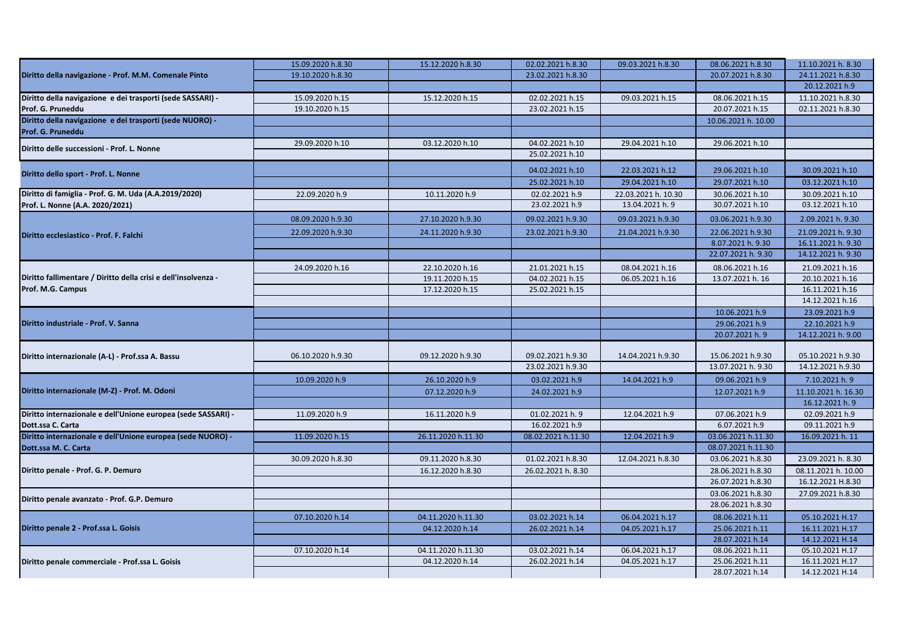|                                                                                     | 15.09.2020 h.8.30 | 15.12.2020 h.8.30  | 02.02.2021 h.8.30                      | 09.03.2021 h.8.30   | 08.06.2021 h.8.30                       | 11.10.2021 h. 8.30                     |
|-------------------------------------------------------------------------------------|-------------------|--------------------|----------------------------------------|---------------------|-----------------------------------------|----------------------------------------|
| Diritto della navigazione - Prof. M.M. Comenale Pinto                               | 19.10.2020 h.8.30 |                    | 23.02.2021 h.8.30                      |                     | 20.07.2021 h.8.30                       | 24.11.2021 h.8.30                      |
|                                                                                     |                   |                    |                                        |                     |                                         | 20.12.2021 h.9                         |
| Diritto della navigazione e dei trasporti (sede SASSARI) -                          | 15.09.2020 h.15   | 15.12.2020 h.15    | 02.02.2021 h.15                        | 09.03.2021 h.15     | 08.06.2021 h.15                         | 11.10.2021 h.8.30                      |
| Prof. G. Pruneddu                                                                   | 19.10.2020 h.15   |                    | 23.02.2021 h.15                        |                     | 20.07.2021 h.15                         | 02.11.2021 h.8.30                      |
| Diritto della navigazione e dei trasporti (sede NUORO) -                            |                   |                    |                                        |                     | 10.06.2021 h. 10.00                     |                                        |
| Prof. G. Pruneddu                                                                   |                   |                    |                                        |                     |                                         |                                        |
| Diritto delle successioni - Prof. L. Nonne                                          | 29.09.2020 h.10   | 03.12.2020 h.10    | 04.02.2021 h.10                        | 29.04.2021 h.10     | 29.06.2021 h.10                         |                                        |
|                                                                                     |                   |                    | 25.02.2021 h.10                        |                     |                                         |                                        |
| Diritto dello sport - Prof. L. Nonne                                                |                   |                    | 04.02.2021 h.10                        | 22.03.2021 h.12     | 29.06.2021 h.10                         | 30.09.2021 h.10                        |
|                                                                                     |                   |                    | 25.02.2021 h.10                        | 29.04.2021 h.10     | 29.07.2021 h.10                         | 03.12.2021 h.10                        |
| Diritto di famiglia - Prof. G. M. Uda (A.A.2019/2020)                               | 22.09.2020 h.9    | 10.11.2020 h.9     | 02.02.2021 h.9                         | 22.03.2021 h. 10.30 | 30.06.2021 h.10                         | 30.09.2021 h.10                        |
| Prof. L. Nonne (A.A. 2020/2021)                                                     |                   |                    | 23.02.2021 h.9                         | 13.04.2021 h. 9     | 30.07.2021 h.10                         | 03.12.2021 h.10                        |
|                                                                                     | 08.09.2020 h.9.30 | 27.10.2020 h.9.30  | 09.02.2021 h.9.30                      | 09.03.2021 h.9.30   | 03.06.2021 h.9.30                       | 2.09.2021 h. 9.30                      |
| Diritto ecclesiastico - Prof. F. Falchi                                             | 22.09.2020 h.9.30 | 24.11.2020 h.9.30  | 23.02.2021 h.9.30                      | 21.04.2021 h.9.30   | 22.06.2021 h.9.30                       | 21.09.2021 h. 9.30                     |
|                                                                                     |                   |                    |                                        |                     | 8.07.2021 h. 9.30                       | 16.11.2021 h. 9.30                     |
|                                                                                     |                   |                    |                                        |                     | 22.07.2021 h. 9.30                      | 14.12.2021 h. 9.30                     |
|                                                                                     | 24.09.2020 h.16   | 22.10.2020 h.16    | 21.01.2021 h.15                        | 08.04.2021 h.16     | 08.06.2021 h.16                         | 21.09.2021 h.16                        |
| Diritto fallimentare / Diritto della crisi e dell'insolvenza -<br>Prof. M.G. Campus |                   | 19.11.2020 h.15    | 04.02.2021 h.15                        | 06.05.2021 h.16     | 13.07.2021 h. 16                        | 20.10.2021 h.16                        |
|                                                                                     |                   | 17.12.2020 h.15    | 25.02.2021 h.15                        |                     |                                         | 16.11.2021 h.16                        |
|                                                                                     |                   |                    |                                        |                     |                                         | 14.12.2021 h.16                        |
| Diritto industriale - Prof. V. Sanna                                                |                   |                    |                                        |                     | 10.06.2021 h.9                          | 23.09.2021 h.9                         |
|                                                                                     |                   |                    |                                        |                     | 29.06.2021 h.9                          | 22.10.2021 h.9                         |
|                                                                                     |                   |                    |                                        |                     | 20.07.2021 h. 9                         | 14.12.2021 h. 9.00                     |
|                                                                                     |                   |                    |                                        |                     |                                         |                                        |
| Diritto internazionale (A-L) - Prof.ssa A. Bassu                                    | 06.10.2020 h.9.30 | 09.12.2020 h.9.30  | 09.02.2021 h.9.30<br>23.02.2021 h.9.30 | 14.04.2021 h.9.30   | 15.06.2021 h.9.30<br>13.07.2021 h. 9.30 | 05.10.2021 h.9.30<br>14.12.2021 h.9.30 |
|                                                                                     |                   |                    |                                        |                     |                                         |                                        |
|                                                                                     | 10.09.2020 h.9    | 26.10.2020 h.9     | 03.02.2021 h.9                         | 14.04.2021 h.9      | 09.06.2021 h.9                          | 7.10.2021 h. 9                         |
| Diritto internazionale (M-Z) - Prof. M. Odoni                                       |                   | 07.12.2020 h.9     | 24.02.2021 h.9                         |                     | 12.07.2021 h.9                          | 11.10.2021 h. 16.30                    |
|                                                                                     |                   |                    |                                        |                     |                                         | 16.12.2021 h. 9                        |
| Diritto internazionale e dell'Unione europea (sede SASSARI) -<br>Dott.ssa C. Carta  | 11.09.2020 h.9    | 16.11.2020 h.9     | 01.02.2021 h. 9<br>16.02.2021 h.9      | 12.04.2021 h.9      | 07.06.2021 h.9<br>6.07.2021 h.9         | 02.09.2021 h.9<br>09.11.2021 h.9       |
| Diritto internazionale e dell'Unione europea (sede NUORO) -                         | 11.09.2020 h.15   | 26.11.2020 h.11.30 | 08.02.2021 h.11.30                     | 12.04.2021 h.9      | 03.06.2021 h.11.30                      | 16.09.2021 h. 11                       |
| Dott.ssa M. C. Carta                                                                |                   |                    |                                        |                     | 08.07.2021 h.11.30                      |                                        |
|                                                                                     | 30.09.2020 h.8.30 | 09.11.2020 h.8.30  | 01.02.2021 h.8.30                      | 12.04.2021 h.8.30   | 03.06.2021 h.8.30                       | 23.09.2021 h. 8.30                     |
| Diritto penale - Prof. G. P. Demuro                                                 |                   | 16.12.2020 h.8.30  | 26.02.2021 h. 8.30                     |                     | 28.06.2021 h.8.30                       | 08.11.2021 h. 10.00                    |
|                                                                                     |                   |                    |                                        |                     | 26.07.2021 h.8.30                       | 16.12.2021 H.8.30                      |
|                                                                                     |                   |                    |                                        |                     | 03.06.2021 h.8.30                       | 27.09.2021 h.8.30                      |
| Diritto penale avanzato - Prof. G.P. Demuro                                         |                   |                    |                                        |                     | 28.06.2021 h.8.30                       |                                        |
|                                                                                     | 07.10.2020 h.14   | 04.11.2020 h.11.30 | 03.02.2021 h.14                        | 06.04.2021 h.17     | 08.06.2021 h.11                         | 05.10.2021 H.17                        |
| Diritto penale 2 - Prof.ssa L. Goisis                                               |                   | 04.12.2020 h.14    | 26.02.2021 h.14                        | 04.05.2021 h.17     | 25.06.2021 h.11                         | 16.11.2021 H.17                        |
|                                                                                     |                   |                    |                                        |                     | 28.07.2021 h.14                         | 14.12.2021 H.14                        |
|                                                                                     | 07.10.2020 h.14   | 04.11.2020 h.11.30 | 03.02.2021 h.14                        | 06.04.2021 h.17     | 08.06.2021 h.11                         | 05.10.2021 H.17                        |
| Diritto penale commerciale - Prof.ssa L. Goisis                                     |                   | 04.12.2020 h.14    | 26.02.2021 h.14                        | 04.05.2021 h.17     | 25.06.2021 h.11                         | 16.11.2021 H.17                        |
|                                                                                     |                   |                    |                                        |                     | 28.07.2021 h.14                         | 14.12.2021 H.14                        |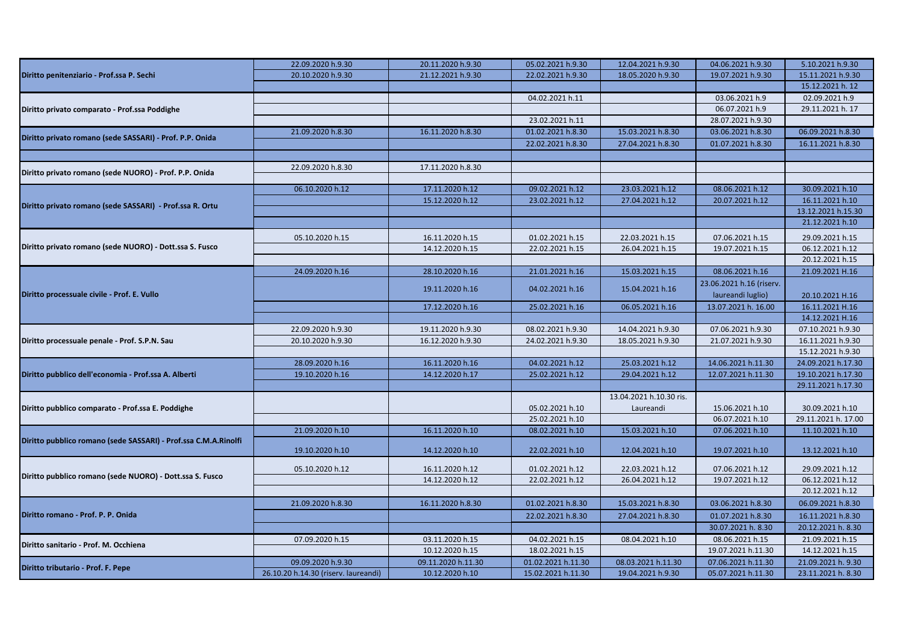|                                                                 | 22.09.2020 h.9.30                    | 20.11.2020 h.9.30  | 05.02.2021 h.9.30  | 12.04.2021 h.9.30       | 04.06.2021 h.9.30        | 5.10.2021 h.9.30    |
|-----------------------------------------------------------------|--------------------------------------|--------------------|--------------------|-------------------------|--------------------------|---------------------|
| Diritto penitenziario - Prof.ssa P. Sechi                       | 20.10.2020 h.9.30                    | 21.12.2021 h.9.30  | 22.02.2021 h.9.30  | 18.05.2020 h.9.30       | 19.07.2021 h.9.30        | 15.11.2021 h.9.30   |
|                                                                 |                                      |                    |                    |                         |                          | 15.12.2021 h. 12    |
|                                                                 |                                      |                    | 04.02.2021 h.11    |                         | 03.06.2021 h.9           | 02.09.2021 h.9      |
| Diritto privato comparato - Prof.ssa Poddighe                   |                                      |                    |                    |                         | 06.07.2021 h.9           | 29.11.2021 h. 17    |
|                                                                 |                                      |                    | 23.02.2021 h.11    |                         | 28.07.2021 h.9.30        |                     |
|                                                                 | 21.09.2020 h.8.30                    | 16.11.2020 h.8.30  | 01.02.2021 h.8.30  | 15.03.2021 h.8.30       | 03.06.2021 h.8.30        | 06.09.2021 h.8.30   |
| Diritto privato romano (sede SASSARI) - Prof. P.P. Onida        |                                      |                    | 22.02.2021 h.8.30  | 27.04.2021 h.8.30       | 01.07.2021 h.8.30        | 16.11.2021 h.8.30   |
|                                                                 |                                      |                    |                    |                         |                          |                     |
|                                                                 | 22.09.2020 h.8.30                    | 17.11.2020 h.8.30  |                    |                         |                          |                     |
| Diritto privato romano (sede NUORO) - Prof. P.P. Onida          |                                      |                    |                    |                         |                          |                     |
|                                                                 | 06.10.2020 h.12                      | 17.11.2020 h.12    | 09.02.2021 h.12    | 23.03.2021 h.12         | 08.06.2021 h.12          | 30.09.2021 h.10     |
|                                                                 |                                      | 15.12.2020 h.12    | 23.02.2021 h.12    | 27.04.2021 h.12         | 20.07.2021 h.12          | 16.11.2021 h.10     |
| Diritto privato romano (sede SASSARI) - Prof.ssa R. Ortu        |                                      |                    |                    |                         |                          | 13.12.2021 h.15.30  |
|                                                                 |                                      |                    |                    |                         |                          | 21.12.2021 h.10     |
|                                                                 | 05.10.2020 h.15                      | 16.11.2020 h.15    | 01.02.2021 h.15    | 22.03.2021 h.15         | 07.06.2021 h.15          | 29.09.2021 h.15     |
| Diritto privato romano (sede NUORO) - Dott.ssa S. Fusco         |                                      | 14.12.2020 h.15    | 22.02.2021 h.15    | 26.04.2021 h.15         | 19.07.2021 h.15          | 06.12.2021 h.12     |
|                                                                 |                                      |                    |                    |                         |                          | 20.12.2021 h.15     |
|                                                                 | 24.09.2020 h.16                      | 28.10.2020 h.16    | 21.01.2021 h.16    | 15.03.2021 h.15         | 08.06.2021 h.16          | 21.09.2021 H.16     |
| Diritto processuale civile - Prof. E. Vullo                     |                                      |                    |                    |                         | 23.06.2021 h.16 (riserv. |                     |
|                                                                 |                                      | 19.11.2020 h.16    | 04.02.2021 h.16    | 15.04.2021 h.16         | laureandi luglio)        | 20.10.2021 H.16     |
|                                                                 |                                      | 17.12.2020 h.16    | 25.02.2021 h.16    | 06.05.2021 h.16         | 13.07.2021 h. 16.00      | 16.11.2021 H.16     |
|                                                                 |                                      |                    |                    |                         |                          | 14.12.2021 H.16     |
|                                                                 | 22.09.2020 h.9.30                    | 19.11.2020 h.9.30  | 08.02.2021 h.9.30  | 14.04.2021 h.9.30       | 07.06.2021 h.9.30        | 07.10.2021 h.9.30   |
| Diritto processuale penale - Prof. S.P.N. Sau                   | 20.10.2020 h.9.30                    | 16.12.2020 h.9.30  | 24.02.2021 h.9.30  | 18.05.2021 h.9.30       | 21.07.2021 h.9.30        | 16.11.2021 h.9.30   |
|                                                                 |                                      |                    |                    |                         |                          | 15.12.2021 h.9.30   |
|                                                                 | 28.09.2020 h.16                      | 16.11.2020 h.16    | 04.02.2021 h.12    | 25.03.2021 h.12         | 14.06.2021 h.11.30       | 24.09.2021 h.17.30  |
| Diritto pubblico dell'economia - Prof.ssa A. Alberti            | 19.10.2020 h.16                      | 14.12.2020 h.17    | 25.02.2021 h.12    | 29.04.2021 h.12         | 12.07.2021 h.11.30       | 19.10.2021 h.17.30  |
|                                                                 |                                      |                    |                    |                         |                          | 29.11.2021 h.17.30  |
|                                                                 |                                      |                    |                    | 13.04.2021 h.10.30 ris. |                          |                     |
| Diritto pubblico comparato - Prof.ssa E. Poddighe               |                                      |                    | 05.02.2021 h.10    | Laureandi               | 15.06.2021 h.10          | 30.09.2021 h.10     |
|                                                                 |                                      |                    | 25.02.2021 h.10    |                         | 06.07.2021 h.10          | 29.11.2021 h. 17.00 |
|                                                                 | 21.09.2020 h.10                      | 16.11.2020 h.10    | 08.02.2021 h.10    | 15.03.2021 h.10         | 07.06.2021 h.10          | 11.10.2021 h.10     |
| Diritto pubblico romano (sede SASSARI) - Prof.ssa C.M.A.Rinolfi |                                      |                    |                    |                         |                          |                     |
|                                                                 | 19.10.2020 h.10                      | 14.12.2020 h.10    | 22.02.2021 h.10    | 12.04.2021 h.10         | 19.07.2021 h.10          | 13.12.2021 h.10     |
|                                                                 | 05.10.2020 h.12                      | 16.11.2020 h.12    | 01.02.2021 h.12    | 22.03.2021 h.12         | 07.06.2021 h.12          | 29.09.2021 h.12     |
| Diritto pubblico romano (sede NUORO) - Dott.ssa S. Fusco        |                                      | 14.12.2020 h.12    | 22.02.2021 h.12    | 26.04.2021 h.12         | 19.07.2021 h.12          | 06.12.2021 h.12     |
|                                                                 |                                      |                    |                    |                         |                          | 20.12.2021 h.12     |
|                                                                 | 21.09.2020 h.8.30                    | 16.11.2020 h.8.30  | 01.02.2021 h.8.30  | 15.03.2021 h.8.30       | 03.06.2021 h.8.30        | 06.09.2021 h.8.30   |
| Diritto romano - Prof. P. P. Onida                              |                                      |                    |                    |                         |                          |                     |
|                                                                 |                                      |                    | 22.02.2021 h.8.30  | 27.04.2021 h.8.30       | 01.07.2021 h.8.30        | 16.11.2021 h.8.30   |
|                                                                 |                                      |                    |                    |                         | 30.07.2021 h. 8.30       | 20.12.2021 h. 8.30  |
| Diritto sanitario - Prof. M. Occhiena                           | 07.09.2020 h.15                      | 03.11.2020 h.15    | 04.02.2021 h.15    | 08.04.2021 h.10         | 08.06.2021 h.15          | 21.09.2021 h.15     |
|                                                                 |                                      | 10.12.2020 h.15    | 18.02.2021 h.15    |                         | 19.07.2021 h.11.30       | 14.12.2021 h.15     |
| Diritto tributario - Prof. F. Pepe                              | 09.09.2020 h.9.30                    | 09.11.2020 h.11.30 | 01.02.2021 h.11.30 | 08.03.2021 h.11.30      | 07.06.2021 h.11.30       | 21.09.2021 h. 9.30  |
|                                                                 | 26.10.20 h.14.30 (riserv. laureandi) | 10.12.2020 h.10    | 15.02.2021 h.11.30 | 19.04.2021 h.9.30       | 05.07.2021 h.11.30       | 23.11.2021 h. 8.30  |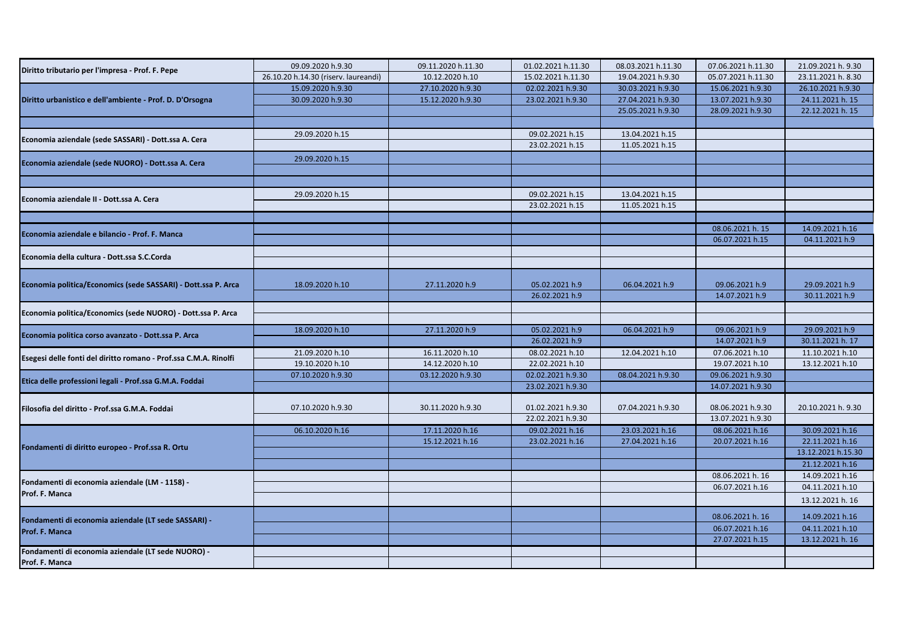| Diritto tributario per l'impresa - Prof. F. Pepe                 | 09.09.2020 h.9.30                    | 09.11.2020 h.11.30 | 01.02.2021 h.11.30 | 08.03.2021 h.11.30 | 07.06.2021 h.11.30 | 21.09.2021 h. 9.30 |
|------------------------------------------------------------------|--------------------------------------|--------------------|--------------------|--------------------|--------------------|--------------------|
|                                                                  | 26.10.20 h.14.30 (riserv. laureandi) | 10.12.2020 h.10    | 15.02.2021 h.11.30 | 19.04.2021 h.9.30  | 05.07.2021 h.11.30 | 23.11.2021 h. 8.30 |
|                                                                  | 15.09.2020 h.9.30                    | 27.10.2020 h.9.30  | 02.02.2021 h.9.30  | 30.03.2021 h.9.30  | 15.06.2021 h.9.30  | 26.10.2021 h.9.30  |
| Diritto urbanistico e dell'ambiente - Prof. D. D'Orsogna         | 30.09.2020 h.9.30                    | 15.12.2020 h.9.30  | 23.02.2021 h.9.30  | 27.04.2021 h.9.30  | 13.07.2021 h.9.30  | 24.11.2021 h. 15   |
|                                                                  |                                      |                    |                    | 25.05.2021 h.9.30  | 28.09.2021 h.9.30  | 22.12.2021 h. 15   |
|                                                                  |                                      |                    |                    |                    |                    |                    |
| Economia aziendale (sede SASSARI) - Dott.ssa A. Cera             | 29.09.2020 h.15                      |                    | 09.02.2021 h.15    | 13.04.2021 h.15    |                    |                    |
|                                                                  |                                      |                    | 23.02.2021 h.15    | 11.05.2021 h.15    |                    |                    |
| Economia aziendale (sede NUORO) - Dott.ssa A. Cera               | 29.09.2020 h.15                      |                    |                    |                    |                    |                    |
|                                                                  |                                      |                    |                    |                    |                    |                    |
|                                                                  |                                      |                    |                    |                    |                    |                    |
| Economia aziendale II - Dott.ssa A. Cera                         | 29.09.2020 h.15                      |                    | 09.02.2021 h.15    | 13.04.2021 h.15    |                    |                    |
|                                                                  |                                      |                    | 23.02.2021 h.15    | 11.05.2021 h.15    |                    |                    |
|                                                                  |                                      |                    |                    |                    |                    |                    |
| Economia aziendale e bilancio - Prof. F. Manca                   |                                      |                    |                    |                    | 08.06.2021 h. 15   | 14.09.2021 h.16    |
|                                                                  |                                      |                    |                    |                    | 06.07.2021 h.15    | 04.11.2021 h.9     |
| Economia della cultura - Dott.ssa S.C.Corda                      |                                      |                    |                    |                    |                    |                    |
|                                                                  |                                      |                    |                    |                    |                    |                    |
|                                                                  |                                      |                    |                    |                    |                    |                    |
| Economia politica/Economics (sede SASSARI) - Dott.ssa P. Arca    | 18.09.2020 h.10                      | 27.11.2020 h.9     | 05.02.2021 h.9     | 06.04.2021 h.9     | 09.06.2021 h.9     | 29.09.2021 h.9     |
|                                                                  |                                      |                    | 26.02.2021 h.9     |                    | 14.07.2021 h.9     | 30.11.2021 h.9     |
| Economia politica/Economics (sede NUORO) - Dott.ssa P. Arca      |                                      |                    |                    |                    |                    |                    |
|                                                                  | 18.09.2020 h.10                      | 27.11.2020 h.9     | 05.02.2021 h.9     | 06.04.2021 h.9     | 09.06.2021 h.9     | 29.09.2021 h.9     |
| Economia politica corso avanzato - Dott.ssa P. Arca              |                                      |                    | 26.02.2021 h.9     |                    | 14.07.2021 h.9     | 30.11.2021 h. 17   |
|                                                                  | 21.09.2020 h.10                      | 16.11.2020 h.10    | 08.02.2021 h.10    | 12.04.2021 h.10    | 07.06.2021 h.10    | 11.10.2021 h.10    |
| Esegesi delle fonti del diritto romano - Prof.ssa C.M.A. Rinolfi | 19.10.2020 h.10                      | 14.12.2020 h.10    | 22.02.2021 h.10    |                    | 19.07.2021 h.10    | 13.12.2021 h.10    |
|                                                                  | 07.10.2020 h.9.30                    | 03.12.2020 h.9.30  | 02.02.2021 h.9.30  | 08.04.2021 h.9.30  | 09.06.2021 h.9.30  |                    |
| Etica delle professioni legali - Prof.ssa G.M.A. Foddai          |                                      |                    | 23.02.2021 h.9.30  |                    | 14.07.2021 h.9.30  |                    |
|                                                                  |                                      |                    |                    |                    |                    |                    |
| Filosofia del diritto - Prof.ssa G.M.A. Foddai                   | 07.10.2020 h.9.30                    | 30.11.2020 h.9.30  | 01.02.2021 h.9.30  | 07.04.2021 h.9.30  | 08.06.2021 h.9.30  | 20.10.2021 h. 9.30 |
|                                                                  |                                      |                    | 22.02.2021 h.9.30  |                    | 13.07.2021 h.9.30  |                    |
|                                                                  | 06.10.2020 h.16                      | 17.11.2020 h.16    | 09.02.2021 h.16    | 23.03.2021 h.16    | 08.06.2021 h.16    | 30.09.2021 h.16    |
| Fondamenti di diritto europeo - Prof.ssa R. Ortu                 |                                      | 15.12.2021 h.16    | 23.02.2021 h.16    | 27.04.2021 h.16    | 20.07.2021 h.16    | 22.11.2021 h.16    |
|                                                                  |                                      |                    |                    |                    |                    | 13.12.2021 h.15.30 |
|                                                                  |                                      |                    |                    |                    |                    | 21.12.2021 h.16    |
| Fondamenti di economia aziendale (LM - 1158) -                   |                                      |                    |                    |                    | 08.06.2021 h. 16   | 14.09.2021 h.16    |
| Prof. F. Manca                                                   |                                      |                    |                    |                    | 06.07.2021 h.16    | 04.11.2021 h.10    |
|                                                                  |                                      |                    |                    |                    |                    | 13.12.2021 h. 16   |
|                                                                  |                                      |                    |                    |                    | 08.06.2021 h. 16   | 14.09.2021 h.16    |
| Fondamenti di economia aziendale (LT sede SASSARI) -             |                                      |                    |                    |                    | 06.07.2021 h.16    | 04.11.2021 h.10    |
| Prof. F. Manca                                                   |                                      |                    |                    |                    | 27.07.2021 h.15    | 13.12.2021 h. 16   |
| Fondamenti di economia aziendale (LT sede NUORO) -               |                                      |                    |                    |                    |                    |                    |
| Prof. F. Manca                                                   |                                      |                    |                    |                    |                    |                    |
|                                                                  |                                      |                    |                    |                    |                    |                    |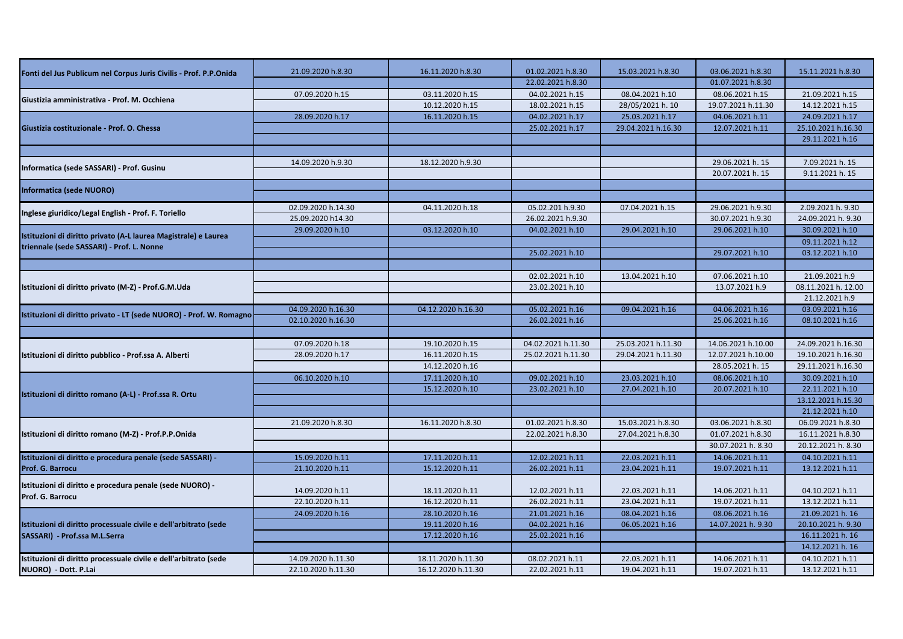| Fonti del Jus Publicum nel Corpus Juris Civilis - Prof. P.P.Onida                                            | 21.09.2020 h.8.30  | 16.11.2020 h.8.30  | 01.02.2021 h.8.30  | 15.03.2021 h.8.30  | 03.06.2021 h.8.30  | 15.11.2021 h.8.30   |
|--------------------------------------------------------------------------------------------------------------|--------------------|--------------------|--------------------|--------------------|--------------------|---------------------|
|                                                                                                              |                    |                    | 22.02.2021 h.8.30  |                    | 01.07.2021 h.8.30  |                     |
|                                                                                                              | 07.09.2020 h.15    | 03.11.2020 h.15    | 04.02.2021 h.15    | 08.04.2021 h.10    | 08.06.2021 h.15    | 21.09.2021 h.15     |
| Giustizia amministrativa - Prof. M. Occhiena                                                                 |                    | 10.12.2020 h.15    | 18.02.2021 h.15    | 28/05/2021 h. 10   | 19.07.2021 h.11.30 | 14.12.2021 h.15     |
|                                                                                                              | 28.09.2020 h.17    | 16.11.2020 h.15    | 04.02.2021 h.17    | 25.03.2021 h.17    | 04.06.2021 h.11    | 24.09.2021 h.17     |
| Giustizia costituzionale - Prof. O. Chessa                                                                   |                    |                    | 25.02.2021 h.17    | 29.04.2021 h.16.30 | 12.07.2021 h.11    | 25.10.2021 h.16.30  |
|                                                                                                              |                    |                    |                    |                    |                    | 29.11.2021 h.16     |
|                                                                                                              |                    |                    |                    |                    |                    |                     |
|                                                                                                              | 14.09.2020 h.9.30  | 18.12.2020 h.9.30  |                    |                    | 29.06.2021 h. 15   | 7.09.2021 h. 15     |
| Informatica (sede SASSARI) - Prof. Gusinu                                                                    |                    |                    |                    |                    | 20.07.2021 h. 15   | 9.11.2021 h. 15     |
|                                                                                                              |                    |                    |                    |                    |                    |                     |
| Informatica (sede NUORO)                                                                                     |                    |                    |                    |                    |                    |                     |
|                                                                                                              | 02.09.2020 h.14.30 | 04.11.2020 h.18    | 05.02.201 h.9.30   | 07.04.2021 h.15    | 29.06.2021 h.9.30  | 2.09.2021 h. 9.30   |
| Inglese giuridico/Legal English - Prof. F. Toriello                                                          | 25.09.2020 h14.30  |                    | 26.02.2021 h.9.30  |                    | 30.07.2021 h.9.30  | 24.09.2021 h. 9.30  |
|                                                                                                              | 29.09.2020 h.10    | 03.12.2020 h.10    | 04.02.2021 h.10    | 29.04.2021 h.10    | 29.06.2021 h.10    | 30.09.2021 h.10     |
| Istituzioni di diritto privato (A-L laurea Magistrale) e Laurea<br>triennale (sede SASSARI) - Prof. L. Nonne |                    |                    |                    |                    |                    | 09.11.2021 h.12     |
|                                                                                                              |                    |                    | 25.02.2021 h.10    |                    | 29.07.2021 h.10    | 03.12.2021 h.10     |
|                                                                                                              |                    |                    |                    |                    |                    |                     |
| Istituzioni di diritto privato (M-Z) - Prof.G.M.Uda                                                          |                    |                    | 02.02.2021 h.10    | 13.04.2021 h.10    | 07.06.2021 h.10    | 21.09.2021 h.9      |
|                                                                                                              |                    |                    | 23.02.2021 h.10    |                    | 13.07.2021 h.9     | 08.11.2021 h. 12.00 |
|                                                                                                              |                    |                    |                    |                    |                    | 21.12.2021 h.9      |
| Istituzioni di diritto privato - LT (sede NUORO) - Prof. W. Romagno                                          | 04.09.2020 h.16.30 | 04.12.2020 h.16.30 | 05.02.2021 h.16    | 09.04.2021 h.16    | 04.06.2021 h.16    | 03.09.2021 h.16     |
|                                                                                                              | 02.10.2020 h.16.30 |                    | 26.02.2021 h.16    |                    | 25.06.2021 h.16    | 08.10.2021 h.16     |
|                                                                                                              |                    |                    |                    |                    |                    |                     |
|                                                                                                              | 07.09.2020 h.18    | 19.10.2020 h.15    | 04.02.2021 h.11.30 | 25.03.2021 h.11.30 | 14.06.2021 h.10.00 | 24.09.2021 h.16.30  |
| Istituzioni di diritto pubblico - Prof.ssa A. Alberti                                                        | 28.09.2020 h.17    | 16.11.2020 h.15    | 25.02.2021 h.11.30 | 29.04.2021 h.11.30 | 12.07.2021 h.10.00 | 19.10.2021 h.16.30  |
|                                                                                                              |                    | 14.12.2020 h.16    |                    |                    | 28.05.2021 h. 15   | 29.11.2021 h.16.30  |
|                                                                                                              | 06.10.2020 h.10    | 17.11.2020 h.10    | 09.02.2021 h.10    | 23.03.2021 h.10    | 08.06.2021 h.10    | 30.09.2021 h.10     |
|                                                                                                              |                    | 15.12.2020 h.10    | 23.02.2021 h.10    | 27.04.2021 h.10    | 20.07.2021 h.10    | 22.11.2021 h.10     |
| Istituzioni di diritto romano (A-L) - Prof.ssa R. Ortu                                                       |                    |                    |                    |                    |                    | 13.12.2021 h.15.30  |
|                                                                                                              |                    |                    |                    |                    |                    | 21.12.2021 h.10     |
|                                                                                                              | 21.09.2020 h.8.30  | 16.11.2020 h.8.30  | 01.02.2021 h.8.30  | 15.03.2021 h.8.30  | 03.06.2021 h.8.30  | 06.09.2021 h.8.30   |
| Istituzioni di diritto romano (M-Z) - Prof.P.P.Onida                                                         |                    |                    | 22.02.2021 h.8.30  | 27.04.2021 h.8.30  | 01.07.2021 h.8.30  | 16.11.2021 h.8.30   |
|                                                                                                              |                    |                    |                    |                    | 30.07.2021 h. 8.30 | 20.12.2021 h. 8.30  |
| Istituzioni di diritto e procedura penale (sede SASSARI) -                                                   | 15.09.2020 h.11    | 17.11.2020 h.11    | 12.02.2021 h.11    | 22.03.2021 h.11    | 14.06.2021 h.11    | 04.10.2021 h.11     |
| Prof. G. Barrocu                                                                                             | 21.10.2020 h.11    | 15.12.2020 h.11    | 26.02.2021 h.11    | 23.04.2021 h.11    | 19.07.2021 h.11    | 13.12.2021 h.11     |
| Istituzioni di diritto e procedura penale (sede NUORO) -                                                     |                    |                    |                    |                    |                    |                     |
| Prof. G. Barrocu                                                                                             | 14.09.2020 h.11    | 18.11.2020 h.11    | 12.02.2021 h.11    | 22.03.2021 h.11    | 14.06.2021 h.11    | 04.10.2021 h.11     |
|                                                                                                              | 22.10.2020 h.11    | 16.12.2020 h.11    | 26.02.2021 h.11    | 23.04.2021 h.11    | 19.07.2021 h.11    | 13.12.2021 h.11     |
|                                                                                                              | 24.09.2020 h.16    | 28.10.2020 h.16    | 21.01.2021 h.16    | 08.04.2021 h.16    | 08.06.2021 h.16    | 21.09.2021 h. 16    |
| Istituzioni di diritto processuale civile e dell'arbitrato (sede                                             |                    | 19.11.2020 h.16    | 04.02.2021 h.16    | 06.05.2021 h.16    | 14.07.2021 h. 9.30 | 20.10.2021 h. 9.30  |
| SASSARI) - Prof.ssa M.L.Serra                                                                                |                    | 17.12.2020 h.16    | 25.02.2021 h.16    |                    |                    | 16.11.2021 h. 16    |
|                                                                                                              |                    |                    |                    |                    |                    | 14.12.2021 h. 16    |
| Istituzioni di diritto processuale civile e dell'arbitrato (sede                                             | 14.09.2020 h.11.30 | 18.11.2020 h.11.30 | 08.02.2021 h.11    | 22.03.2021 h.11    | 14.06.2021 h.11    | 04.10.2021 h.11     |
| NUORO) - Dott. P.Lai                                                                                         | 22.10.2020 h.11.30 | 16.12.2020 h.11.30 | 22.02.2021 h.11    | 19.04.2021 h.11    | 19.07.2021 h.11    | 13.12.2021 h.11     |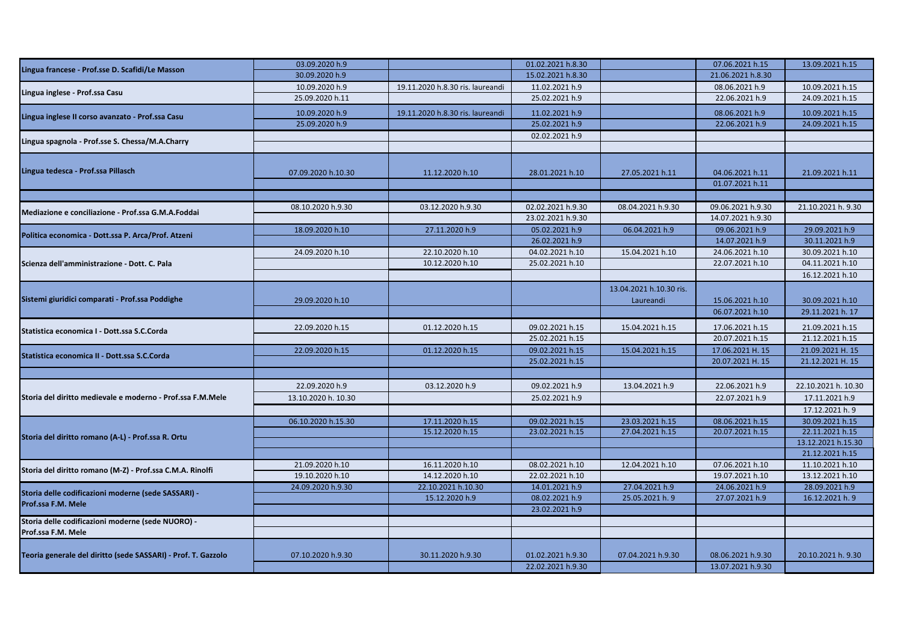|                                                                         | 03.09.2020 h.9      |                                  | 01.02.2021 h.8.30 |                         | 07.06.2021 h.15   | 13.09.2021 h.15     |
|-------------------------------------------------------------------------|---------------------|----------------------------------|-------------------|-------------------------|-------------------|---------------------|
| Lingua francese - Prof.sse D. Scafidi/Le Masson                         | 30.09.2020 h.9      |                                  | 15.02.2021 h.8.30 |                         | 21.06.2021 h.8.30 |                     |
|                                                                         | 10.09.2020 h.9      | 19.11.2020 h.8.30 ris. laureandi | 11.02.2021 h.9    |                         | 08.06.2021 h.9    | 10.09.2021 h.15     |
| Lingua inglese - Prof.ssa Casu                                          | 25.09.2020 h.11     |                                  | 25.02.2021 h.9    |                         | 22.06.2021 h.9    | 24.09.2021 h.15     |
| Lingua inglese II corso avanzato - Prof.ssa Casu                        | 10.09.2020 h.9      | 19.11.2020 h.8.30 ris. laureandi | 11.02.2021 h.9    |                         | 08.06.2021 h.9    | 10.09.2021 h.15     |
|                                                                         | 25.09.2020 h.9      |                                  | 25.02.2021 h.9    |                         | 22.06.2021 h.9    | 24.09.2021 h.15     |
| Lingua spagnola - Prof.sse S. Chessa/M.A.Charry                         |                     |                                  | 02.02.2021 h.9    |                         |                   |                     |
|                                                                         |                     |                                  |                   |                         |                   |                     |
|                                                                         |                     |                                  |                   |                         |                   |                     |
| Lingua tedesca - Prof.ssa Pillasch                                      | 07.09.2020 h.10.30  | 11.12.2020 h.10                  | 28.01.2021 h.10   | 27.05.2021 h.11         | 04.06.2021 h.11   | 21.09.2021 h.11     |
|                                                                         |                     |                                  |                   |                         | 01.07.2021 h.11   |                     |
|                                                                         |                     |                                  |                   |                         |                   |                     |
| Mediazione e conciliazione - Prof.ssa G.M.A.Foddai                      | 08.10.2020 h.9.30   | 03.12.2020 h.9.30                | 02.02.2021 h.9.30 | 08.04.2021 h.9.30       | 09.06.2021 h.9.30 | 21.10.2021 h. 9.30  |
|                                                                         |                     |                                  | 23.02.2021 h.9.30 |                         | 14.07.2021 h.9.30 |                     |
| Politica economica - Dott.ssa P. Arca/Prof. Atzeni                      | 18.09.2020 h.10     | 27.11.2020 h.9                   | 05.02.2021 h.9    | 06.04.2021 h.9          | 09.06.2021 h.9    | 29.09.2021 h.9      |
|                                                                         |                     |                                  | 26.02.2021 h.9    |                         | 14.07.2021 h.9    | 30.11.2021 h.9      |
|                                                                         | 24.09.2020 h.10     | 22.10.2020 h.10                  | 04.02.2021 h.10   | 15.04.2021 h.10         | 24.06.2021 h.10   | 30.09.2021 h.10     |
| Scienza dell'amministrazione - Dott. C. Pala                            |                     | 10.12.2020 h.10                  | 25.02.2021 h.10   |                         | 22.07.2021 h.10   | 04.11.2021 h.10     |
|                                                                         |                     |                                  |                   |                         |                   | 16.12.2021 h.10     |
| Sistemi giuridici comparati - Prof.ssa Poddighe                         |                     |                                  |                   | 13.04.2021 h.10.30 ris. |                   |                     |
|                                                                         | 29.09.2020 h.10     |                                  |                   | Laureandi               | 15.06.2021 h.10   | 30.09.2021 h.10     |
|                                                                         |                     |                                  |                   |                         | 06.07.2021 h.10   | 29.11.2021 h. 17    |
| Statistica economica I - Dott.ssa S.C.Corda                             | 22.09.2020 h.15     | 01.12.2020 h.15                  | 09.02.2021 h.15   | 15.04.2021 h.15         | 17.06.2021 h.15   | 21.09.2021 h.15     |
|                                                                         |                     |                                  | 25.02.2021 h.15   |                         | 20.07.2021 h.15   | 21.12.2021 h.15     |
| Statistica economica II - Dott.ssa S.C.Corda                            | 22.09.2020 h.15     | 01.12.2020 h.15                  | 09.02.2021 h.15   | 15.04.2021 h.15         | 17.06.2021 H. 15  | 21.09.2021 H. 15    |
|                                                                         |                     |                                  | 25.02.2021 h.15   |                         | 20.07.2021 H. 15  | 21.12.2021 H. 15    |
|                                                                         |                     |                                  |                   |                         |                   |                     |
|                                                                         | 22.09.2020 h.9      | 03.12.2020 h.9                   | 09.02.2021 h.9    | 13.04.2021 h.9          | 22.06.2021 h.9    | 22.10.2021 h. 10.30 |
| Storia del diritto medievale e moderno - Prof.ssa F.M.Mele              | 13.10.2020 h. 10.30 |                                  | 25.02.2021 h.9    |                         | 22.07.2021 h.9    | 17.11.2021 h.9      |
|                                                                         |                     |                                  |                   |                         |                   | 17.12.2021 h. 9     |
|                                                                         | 06.10.2020 h.15.30  | 17.11.2020 h.15                  | 09.02.2021 h.15   | 23.03.2021 h.15         | 08.06.2021 h.15   | 30.09.2021 h.15     |
| Storia del diritto romano (A-L) - Prof.ssa R. Ortu                      |                     | 15.12.2020 h.15                  | 23.02.2021 h.15   | 27.04.2021 h.15         | 20.07.2021 h.15   | 22.11.2021 h.15     |
|                                                                         |                     |                                  |                   |                         |                   | 13.12.2021 h.15.30  |
|                                                                         |                     |                                  |                   |                         |                   | 21.12.2021 h.15     |
| Storia del diritto romano (M-Z) - Prof.ssa C.M.A. Rinolfi               | 21.09.2020 h.10     | 16.11.2020 h.10                  | 08.02.2021 h.10   | 12.04.2021 h.10         | 07.06.2021 h.10   | 11.10.2021 h.10     |
|                                                                         | 19.10.2020 h.10     | 14.12.2020 h.10                  | 22.02.2021 h.10   |                         | 19.07.2021 h.10   | 13.12.2021 h.10     |
| Storia delle codificazioni moderne (sede SASSARI) -                     | 24.09.2020 h.9.30   | 22.10.2021 h.10.30               | 14.01.2021 h.9    | 27.04.2021 h.9          | 24.06.2021 h.9    | 28.09.2021 h.9      |
| Prof.ssa F.M. Mele                                                      |                     | 15.12.2020 h.9                   | 08.02.2021 h.9    | 25.05.2021 h. 9         | 27.07.2021 h.9    | 16.12.2021 h. 9     |
|                                                                         |                     |                                  | 23.02.2021 h.9    |                         |                   |                     |
| Storia delle codificazioni moderne (sede NUORO) -<br>Prof.ssa F.M. Mele |                     |                                  |                   |                         |                   |                     |
|                                                                         |                     |                                  |                   |                         |                   |                     |
| Teoria generale del diritto (sede SASSARI) - Prof. T. Gazzolo           | 07.10.2020 h.9.30   | 30.11.2020 h.9.30                | 01.02.2021 h.9.30 | 07.04.2021 h.9.30       | 08.06.2021 h.9.30 | 20.10.2021 h. 9.30  |
|                                                                         |                     |                                  | 22.02.2021 h.9.30 |                         | 13.07.2021 h.9.30 |                     |
|                                                                         |                     |                                  |                   |                         |                   |                     |